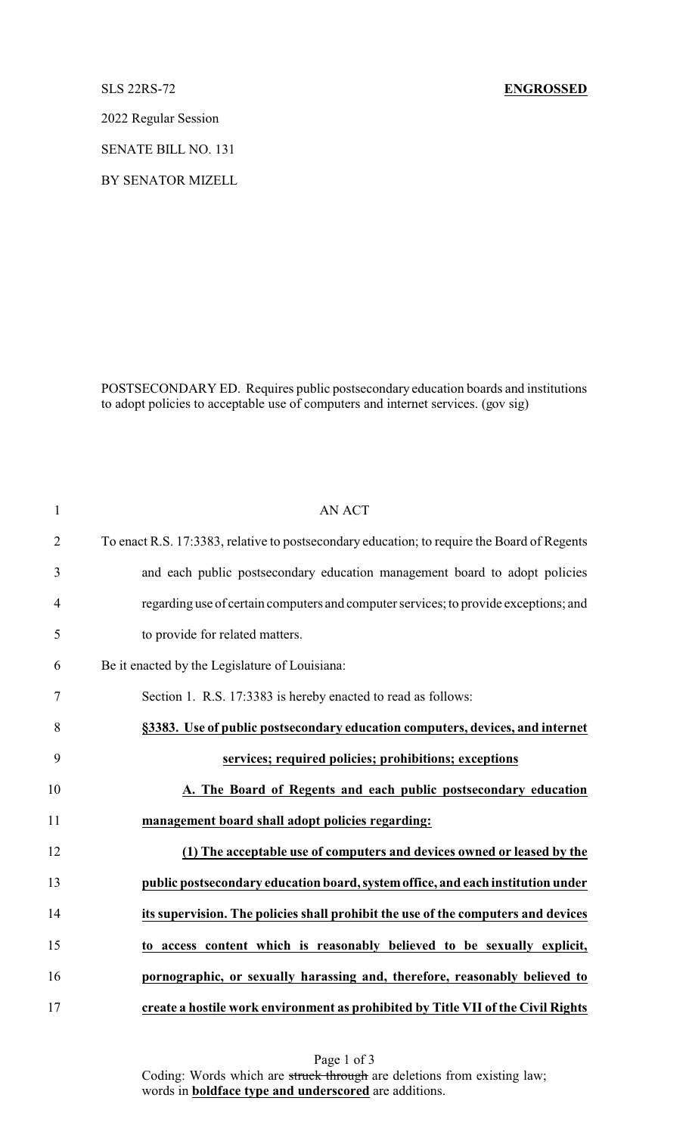2022 Regular Session

SENATE BILL NO. 131

BY SENATOR MIZELL

POSTSECONDARY ED. Requires public postsecondary education boards and institutions to adopt policies to acceptable use of computers and internet services. (gov sig)

| $\mathbf{1}$   | <b>AN ACT</b>                                                                               |
|----------------|---------------------------------------------------------------------------------------------|
| $\overline{2}$ | To enact R.S. 17:3383, relative to postsecondary education; to require the Board of Regents |
| 3              | and each public postsecondary education management board to adopt policies                  |
| $\overline{4}$ | regarding use of certain computers and computer services; to provide exceptions; and        |
| 5              | to provide for related matters.                                                             |
| 6              | Be it enacted by the Legislature of Louisiana:                                              |
| 7              | Section 1. R.S. 17:3383 is hereby enacted to read as follows:                               |
| 8              | §3383. Use of public postsecondary education computers, devices, and internet               |
| 9              | services; required policies; prohibitions; exceptions                                       |
| 10             | A. The Board of Regents and each public postsecondary education                             |
| 11             | management board shall adopt policies regarding:                                            |
| 12             | (1) The acceptable use of computers and devices owned or leased by the                      |
| 13             | public postsecondary education board, system office, and each institution under             |
| 14             | its supervision. The policies shall prohibit the use of the computers and devices           |
| 15             | to access content which is reasonably believed to be sexually explicit,                     |
| 16             | pornographic, or sexually harassing and, therefore, reasonably believed to                  |
| 17             | create a hostile work environment as prohibited by Title VII of the Civil Rights            |

Page 1 of 3 Coding: Words which are struck through are deletions from existing law; words in **boldface type and underscored** are additions.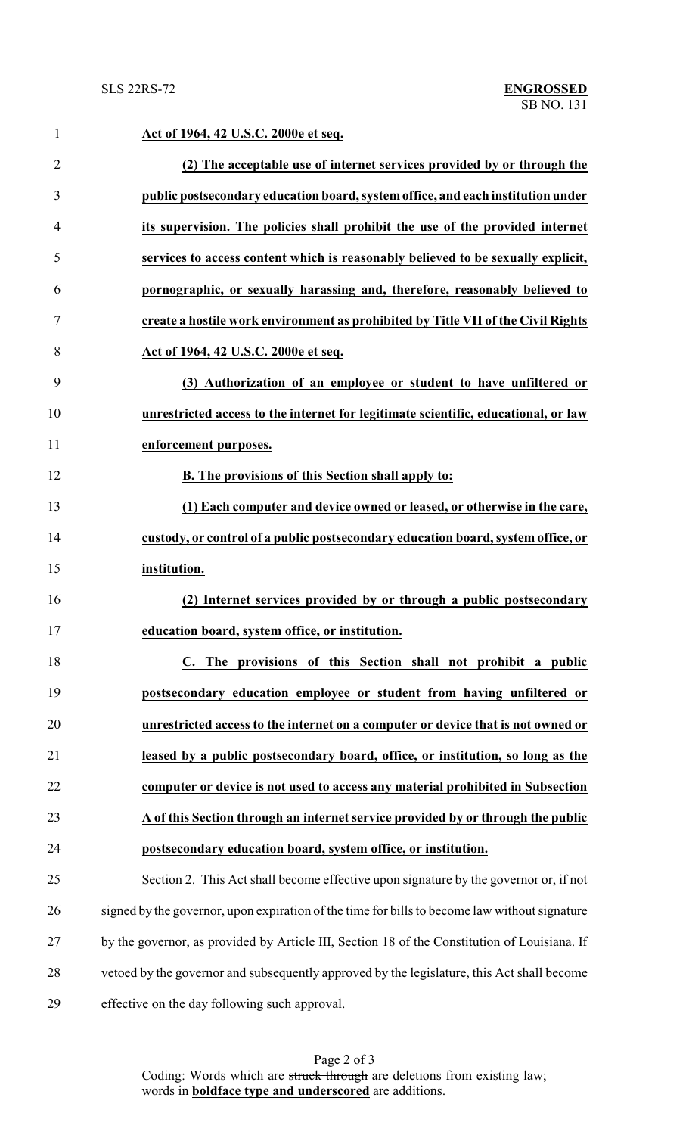| $\mathbf{1}$   | Act of 1964, 42 U.S.C. 2000e et seq.                                                          |
|----------------|-----------------------------------------------------------------------------------------------|
| $\overline{2}$ | (2) The acceptable use of internet services provided by or through the                        |
| 3              | public postsecondary education board, system office, and each institution under               |
| 4              | its supervision. The policies shall prohibit the use of the provided internet                 |
| 5              | services to access content which is reasonably believed to be sexually explicit,              |
| 6              | pornographic, or sexually harassing and, therefore, reasonably believed to                    |
| 7              | create a hostile work environment as prohibited by Title VII of the Civil Rights              |
| 8              | Act of 1964, 42 U.S.C. 2000e et seq.                                                          |
| 9              | (3) Authorization of an employee or student to have unfiltered or                             |
| 10             | unrestricted access to the internet for legitimate scientific, educational, or law            |
| 11             | enforcement purposes.                                                                         |
| 12             | B. The provisions of this Section shall apply to:                                             |
| 13             | (1) Each computer and device owned or leased, or otherwise in the care,                       |
| 14             | custody, or control of a public postsecondary education board, system office, or              |
| 15             | institution.                                                                                  |
| 16             | (2) Internet services provided by or through a public postsecondary                           |
| 17             | education board, system office, or institution.                                               |
| 18             | C. The provisions of this Section shall not prohibit a public                                 |
| 19             | postsecondary education employee or student from having unfiltered or                         |
| 20             | unrestricted access to the internet on a computer or device that is not owned or              |
| 21             | leased by a public postsecondary board, office, or institution, so long as the                |
| 22             | computer or device is not used to access any material prohibited in Subsection                |
| 23             | A of this Section through an internet service provided by or through the public               |
| 24             | postsecondary education board, system office, or institution.                                 |
| 25             | Section 2. This Act shall become effective upon signature by the governor or, if not          |
| 26             | signed by the governor, upon expiration of the time for bills to become law without signature |
| 27             | by the governor, as provided by Article III, Section 18 of the Constitution of Louisiana. If  |
| 28             | vetoed by the governor and subsequently approved by the legislature, this Act shall become    |
| 29             | effective on the day following such approval.                                                 |

Page 2 of 3 Coding: Words which are struck through are deletions from existing law; words in **boldface type and underscored** are additions.